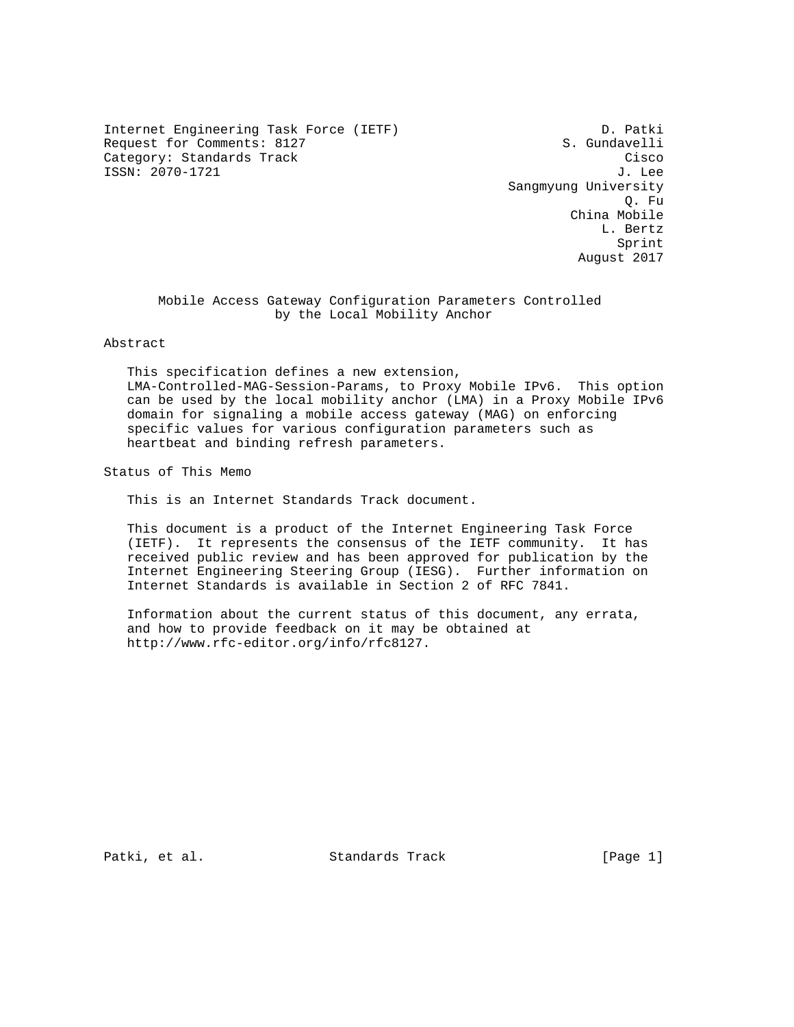Internet Engineering Task Force (IETF) D. Patki Request for Comments: 8127 S. Gundavelli<br>Category: Standards Track Cisco Category: Standards Track ISSN: 2070-1721 J. Lee

 Sangmyung University Q. Fu China Mobile L. Bertz **Sprint** Sprint Sprint Sprint Sprint Sprint Sprint Sprint Sprint Sprint Sprint Sprint Sprint Sprint Sprint Sprint Sprint Sprint Sprint Sprint Sprint Sprint Sprint Sprint Sprint Sprint Sprint Sprint Sprint Sprint Sprint Spr August 2017

## Mobile Access Gateway Configuration Parameters Controlled by the Local Mobility Anchor

Abstract

 This specification defines a new extension, LMA-Controlled-MAG-Session-Params, to Proxy Mobile IPv6. This option can be used by the local mobility anchor (LMA) in a Proxy Mobile IPv6 domain for signaling a mobile access gateway (MAG) on enforcing specific values for various configuration parameters such as heartbeat and binding refresh parameters.

Status of This Memo

This is an Internet Standards Track document.

 This document is a product of the Internet Engineering Task Force (IETF). It represents the consensus of the IETF community. It has received public review and has been approved for publication by the Internet Engineering Steering Group (IESG). Further information on Internet Standards is available in Section 2 of RFC 7841.

 Information about the current status of this document, any errata, and how to provide feedback on it may be obtained at http://www.rfc-editor.org/info/rfc8127.

Patki, et al. Standards Track [Page 1]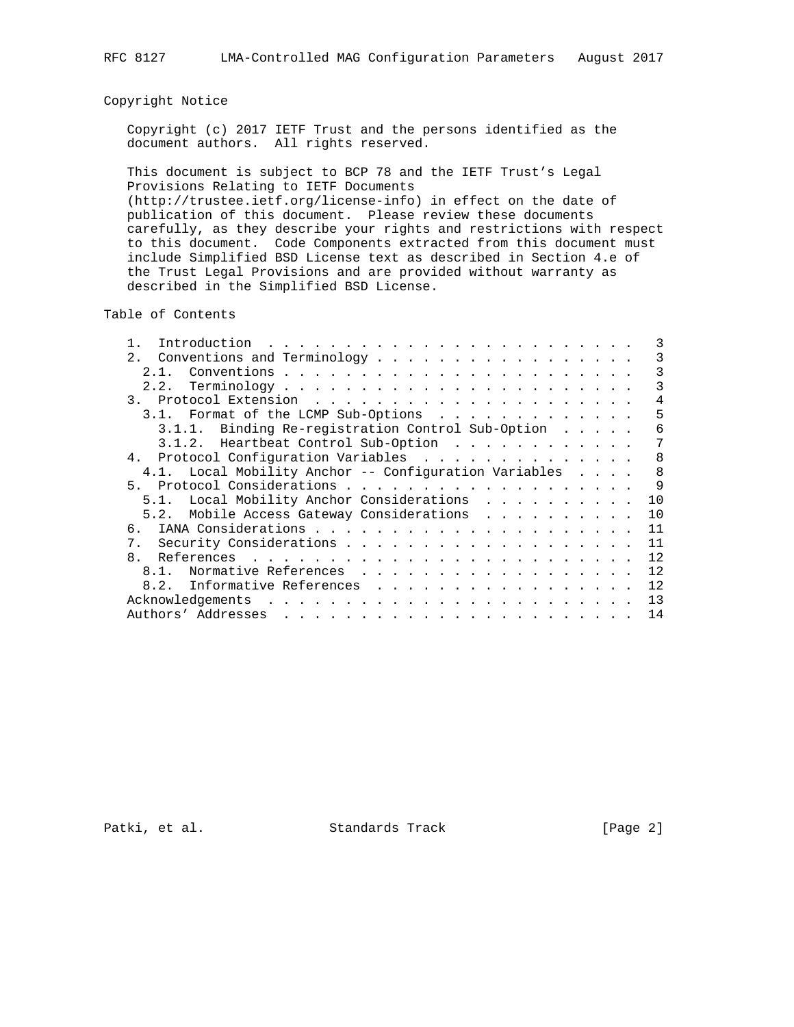# Copyright Notice

 Copyright (c) 2017 IETF Trust and the persons identified as the document authors. All rights reserved.

 This document is subject to BCP 78 and the IETF Trust's Legal Provisions Relating to IETF Documents (http://trustee.ietf.org/license-info) in effect on the date of publication of this document. Please review these documents carefully, as they describe your rights and restrictions with respect to this document. Code Components extracted from this document must include Simplified BSD License text as described in Section 4.e of the Trust Legal Provisions and are provided without warranty as described in the Simplified BSD License.

Table of Contents

|              | 2. Conventions and Terminology                        | 3            |
|--------------|-------------------------------------------------------|--------------|
|              | 2 1                                                   | 3            |
|              |                                                       | 3            |
|              |                                                       | 4            |
|              | 3.1. Format of the LCMP Sub-Options                   | 5            |
|              | 3.1.1. Binding Re-registration Control Sub-Option     | 6            |
|              | 3.1.2. Heartbeat Control Sub-Option                   | 7            |
|              | 4. Protocol Configuration Variables                   | 8            |
|              | 4.1. Local Mobility Anchor -- Configuration Variables | 8            |
| $5 -$        |                                                       | $\mathsf{Q}$ |
|              | 5.1. Local Mobility Anchor Considerations             | 10           |
|              | Mobile Access Gateway Considerations<br>5.2.          | 10           |
|              |                                                       | 11           |
| 7.           |                                                       | 11           |
| $\mathsf{R}$ |                                                       | 12           |
|              | Normative References<br>8.1.                          | 12           |
|              | 8.2. Informative References                           | 12           |
|              |                                                       | 13           |
|              |                                                       | 14           |

Patki, et al. Standards Track [Page 2]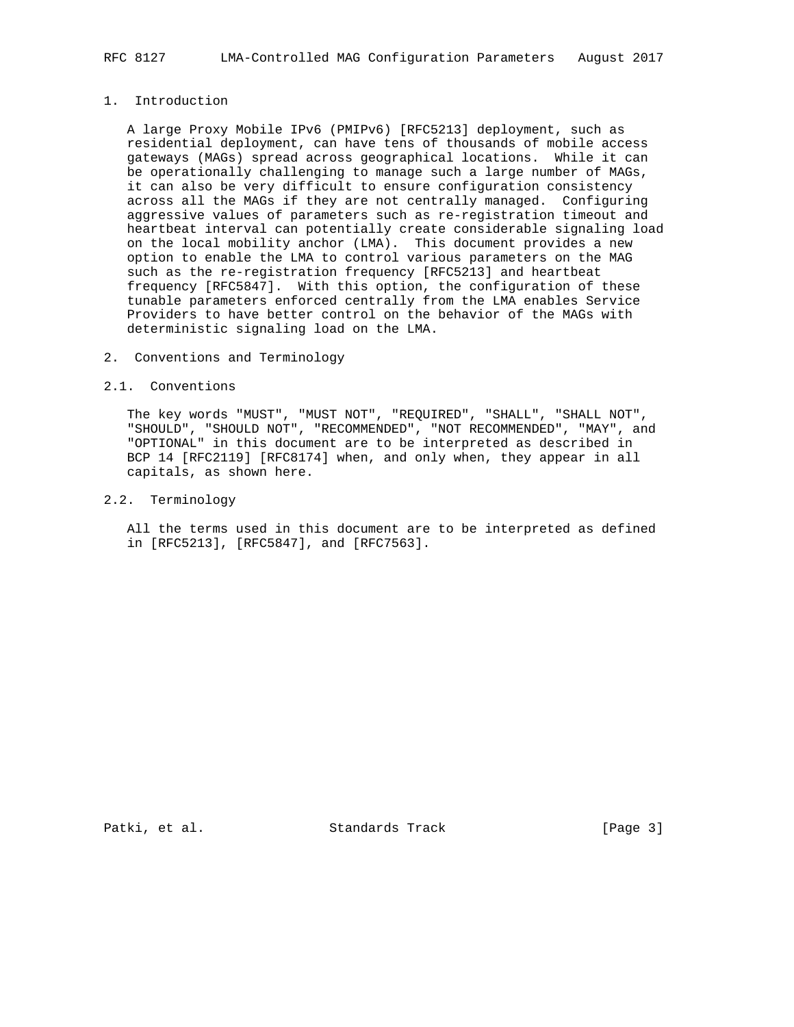# 1. Introduction

 A large Proxy Mobile IPv6 (PMIPv6) [RFC5213] deployment, such as residential deployment, can have tens of thousands of mobile access gateways (MAGs) spread across geographical locations. While it can be operationally challenging to manage such a large number of MAGs, it can also be very difficult to ensure configuration consistency across all the MAGs if they are not centrally managed. Configuring aggressive values of parameters such as re-registration timeout and heartbeat interval can potentially create considerable signaling load on the local mobility anchor (LMA). This document provides a new option to enable the LMA to control various parameters on the MAG such as the re-registration frequency [RFC5213] and heartbeat frequency [RFC5847]. With this option, the configuration of these tunable parameters enforced centrally from the LMA enables Service Providers to have better control on the behavior of the MAGs with deterministic signaling load on the LMA.

### 2. Conventions and Terminology

### 2.1. Conventions

 The key words "MUST", "MUST NOT", "REQUIRED", "SHALL", "SHALL NOT", "SHOULD", "SHOULD NOT", "RECOMMENDED", "NOT RECOMMENDED", "MAY", and "OPTIONAL" in this document are to be interpreted as described in BCP 14 [RFC2119] [RFC8174] when, and only when, they appear in all capitals, as shown here.

# 2.2. Terminology

 All the terms used in this document are to be interpreted as defined in [RFC5213], [RFC5847], and [RFC7563].

Patki, et al. Standards Track [Page 3]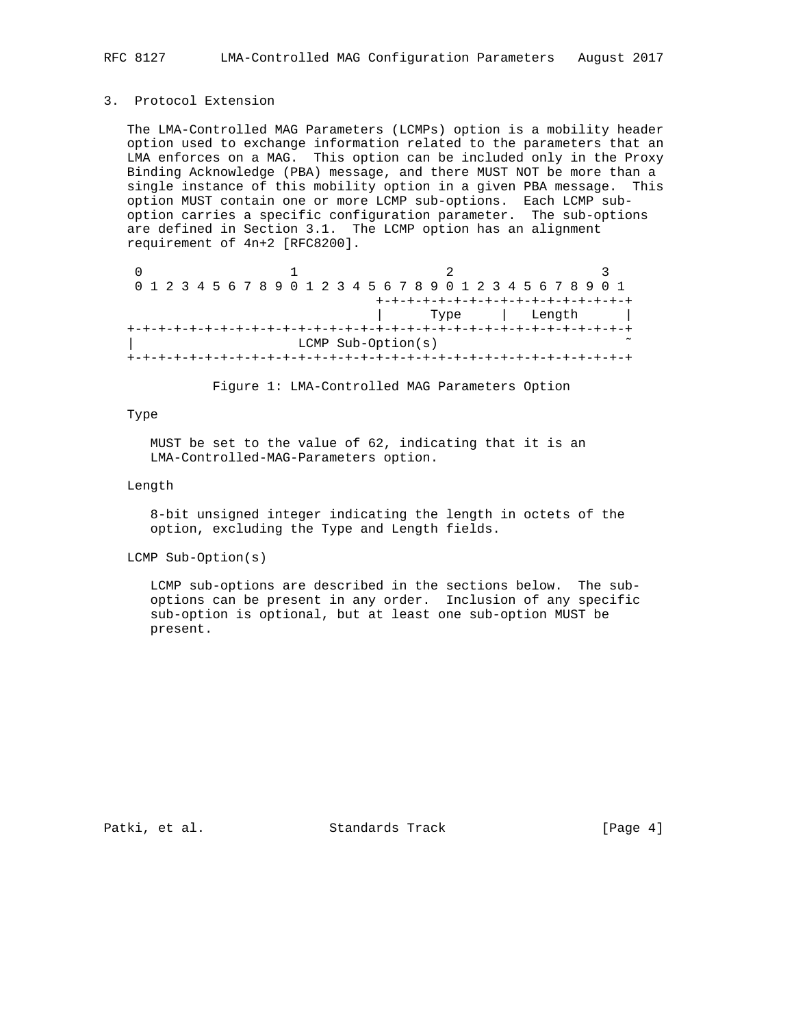## 3. Protocol Extension

 The LMA-Controlled MAG Parameters (LCMPs) option is a mobility header option used to exchange information related to the parameters that an LMA enforces on a MAG. This option can be included only in the Proxy Binding Acknowledge (PBA) message, and there MUST NOT be more than a single instance of this mobility option in a given PBA message. This option MUST contain one or more LCMP sub-options. Each LCMP sub option carries a specific configuration parameter. The sub-options are defined in Section 3.1. The LCMP option has an alignment requirement of 4n+2 [RFC8200].

|                |  |  |  |  |  |  |  |  |  |  |  |  |                      |  | 0 1 2 3 4 5 6 7 8 9 0 1 2 3 4 5 6 7 8 9 0 1 2 3 4 5 6 7 8 9 0 1 |  |  |  |  |  |  |  |
|----------------|--|--|--|--|--|--|--|--|--|--|--|--|----------------------|--|-----------------------------------------------------------------|--|--|--|--|--|--|--|
|                |  |  |  |  |  |  |  |  |  |  |  |  |                      |  | +-+-+-+-+-+-+-+-+-+-+-+-+-+-+-+                                 |  |  |  |  |  |  |  |
| Length<br>Type |  |  |  |  |  |  |  |  |  |  |  |  |                      |  |                                                                 |  |  |  |  |  |  |  |
|                |  |  |  |  |  |  |  |  |  |  |  |  |                      |  |                                                                 |  |  |  |  |  |  |  |
|                |  |  |  |  |  |  |  |  |  |  |  |  | LCMP $Sub-Option(s)$ |  |                                                                 |  |  |  |  |  |  |  |
|                |  |  |  |  |  |  |  |  |  |  |  |  |                      |  |                                                                 |  |  |  |  |  |  |  |

Figure 1: LMA-Controlled MAG Parameters Option

## Type

 MUST be set to the value of 62, indicating that it is an LMA-Controlled-MAG-Parameters option.

### Length

 8-bit unsigned integer indicating the length in octets of the option, excluding the Type and Length fields.

LCMP Sub-Option(s)

 LCMP sub-options are described in the sections below. The sub options can be present in any order. Inclusion of any specific sub-option is optional, but at least one sub-option MUST be present.

Patki, et al. Standards Track [Page 4]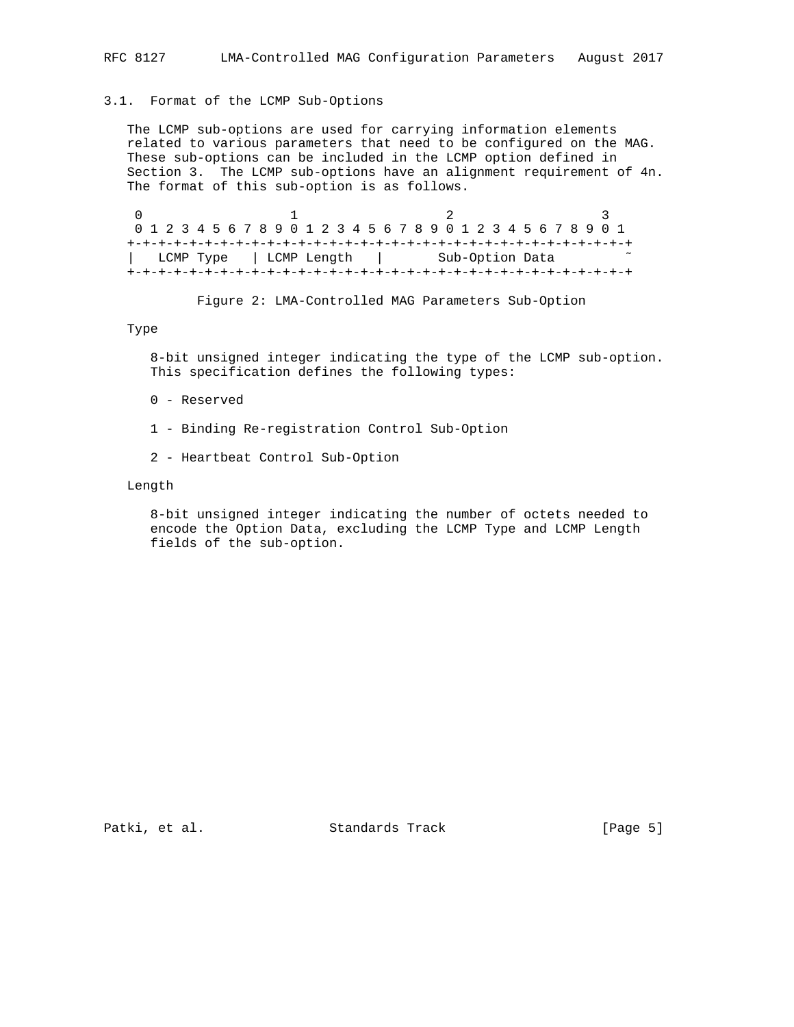# 3.1. Format of the LCMP Sub-Options

 The LCMP sub-options are used for carrying information elements related to various parameters that need to be configured on the MAG. These sub-options can be included in the LCMP option defined in Section 3. The LCMP sub-options have an alignment requirement of 4n. The format of this sub-option is as follows.

0  $1$  2 3 0 1 2 3 4 5 6 7 8 9 0 1 2 3 4 5 6 7 8 9 0 1 2 3 4 5 6 7 8 9 0 1 +-+-+-+-+-+-+-+-+-+-+-+-+-+-+-+-+-+-+-+-+-+-+-+-+-+-+-+-+-+-+-+-+ | LCMP Type | LCMP Length | Sub-Option Data +-+-+-+-+-+-+-+-+-+-+-+-+-+-+-+-+-+-+-+-+-+-+-+-+-+-+-+-+-+-+-+-+

Figure 2: LMA-Controlled MAG Parameters Sub-Option

### Type

 8-bit unsigned integer indicating the type of the LCMP sub-option. This specification defines the following types:

- 0 Reserved
- 1 Binding Re-registration Control Sub-Option
- 2 Heartbeat Control Sub-Option

### Length

 8-bit unsigned integer indicating the number of octets needed to encode the Option Data, excluding the LCMP Type and LCMP Length fields of the sub-option.

Patki, et al. Standards Track [Page 5]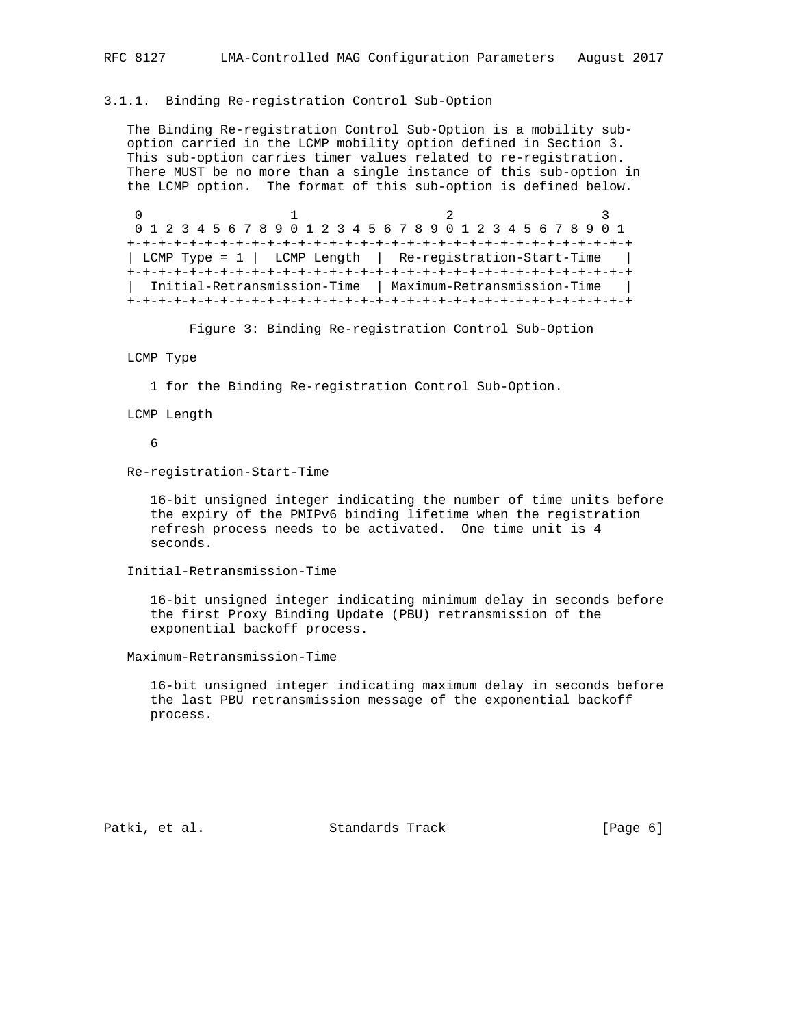#### 3.1.1. Binding Re-registration Control Sub-Option

 The Binding Re-registration Control Sub-Option is a mobility sub option carried in the LCMP mobility option defined in Section 3. This sub-option carries timer values related to re-registration. There MUST be no more than a single instance of this sub-option in the LCMP option. The format of this sub-option is defined below.

0  $1$  2 3 0 1 2 3 4 5 6 7 8 9 0 1 2 3 4 5 6 7 8 9 0 1 2 3 4 5 6 7 8 9 0 1 +-+-+-+-+-+-+-+-+-+-+-+-+-+-+-+-+-+-+-+-+-+-+-+-+-+-+-+-+-+-+-+-+ | LCMP Type = 1 | LCMP Length | Re-registration-Start-Time | +-+-+-+-+-+-+-+-+-+-+-+-+-+-+-+-+-+-+-+-+-+-+-+-+-+-+-+-+-+-+-+-+ | Initial-Retransmission-Time | Maximum-Retransmission-Time | +-+-+-+-+-+-+-+-+-+-+-+-+-+-+-+-+-+-+-+-+-+-+-+-+-+-+-+-+-+-+-+-+

Figure 3: Binding Re-registration Control Sub-Option

#### LCMP Type

1 for the Binding Re-registration Control Sub-Option.

LCMP Length

6

Re-registration-Start-Time

 16-bit unsigned integer indicating the number of time units before the expiry of the PMIPv6 binding lifetime when the registration refresh process needs to be activated. One time unit is 4 seconds.

Initial-Retransmission-Time

 16-bit unsigned integer indicating minimum delay in seconds before the first Proxy Binding Update (PBU) retransmission of the exponential backoff process.

Maximum-Retransmission-Time

 16-bit unsigned integer indicating maximum delay in seconds before the last PBU retransmission message of the exponential backoff process.

Patki, et al. Standards Track [Page 6]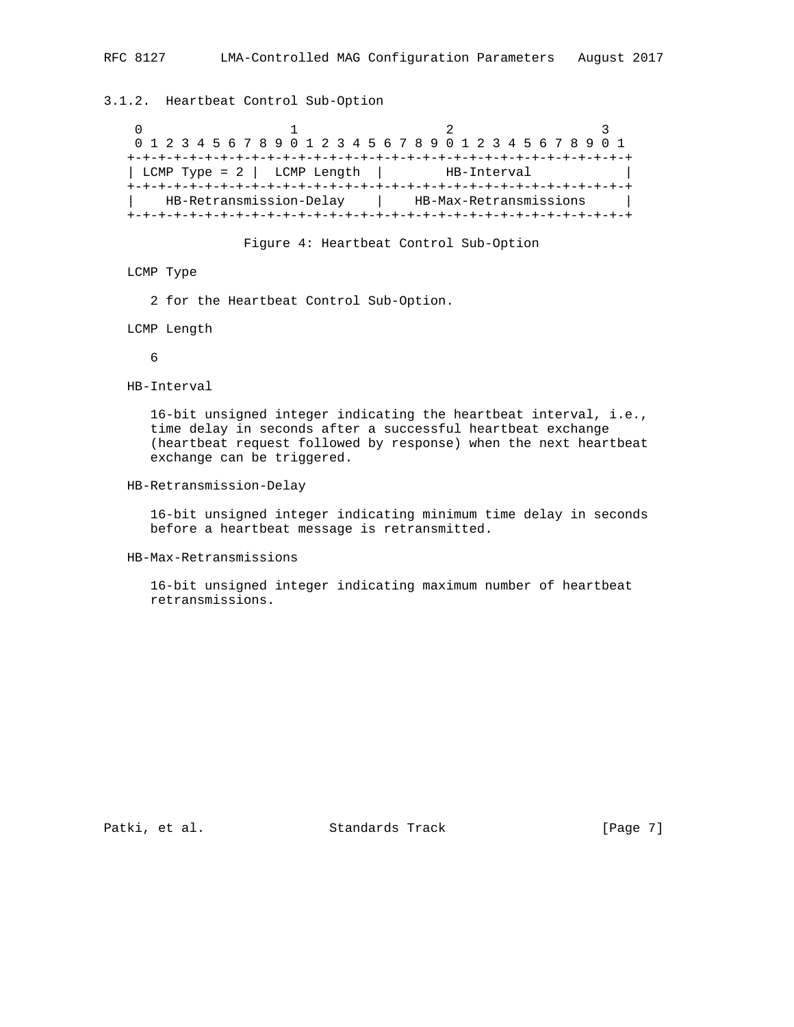# 3.1.2. Heartbeat Control Sub-Option

0  $1$  2 3 0 1 2 3 4 5 6 7 8 9 0 1 2 3 4 5 6 7 8 9 0 1 2 3 4 5 6 7 8 9 0 1 +-+-+-+-+-+-+-+-+-+-+-+-+-+-+-+-+-+-+-+-+-+-+-+-+-+-+-+-+-+-+-+-+ | LCMP Type = 2 | LCMP Length | HB-Interval +-+-+-+-+-+-+-+-+-+-+-+-+-+-+-+-+-+-+-+-+-+-+-+-+-+-+-+-+-+-+-+-+ HB-Retransmission-Delay | HB-Max-Retransmissions +-+-+-+-+-+-+-+-+-+-+-+-+-+-+-+-+-+-+-+-+-+-+-+-+-+-+-+-+-+-+-+-+

Figure 4: Heartbeat Control Sub-Option

## LCMP Type

2 for the Heartbeat Control Sub-Option.

LCMP Length

6

HB-Interval

 16-bit unsigned integer indicating the heartbeat interval, i.e., time delay in seconds after a successful heartbeat exchange (heartbeat request followed by response) when the next heartbeat exchange can be triggered.

### HB-Retransmission-Delay

 16-bit unsigned integer indicating minimum time delay in seconds before a heartbeat message is retransmitted.

### HB-Max-Retransmissions

 16-bit unsigned integer indicating maximum number of heartbeat retransmissions.

Patki, et al. Standards Track [Page 7]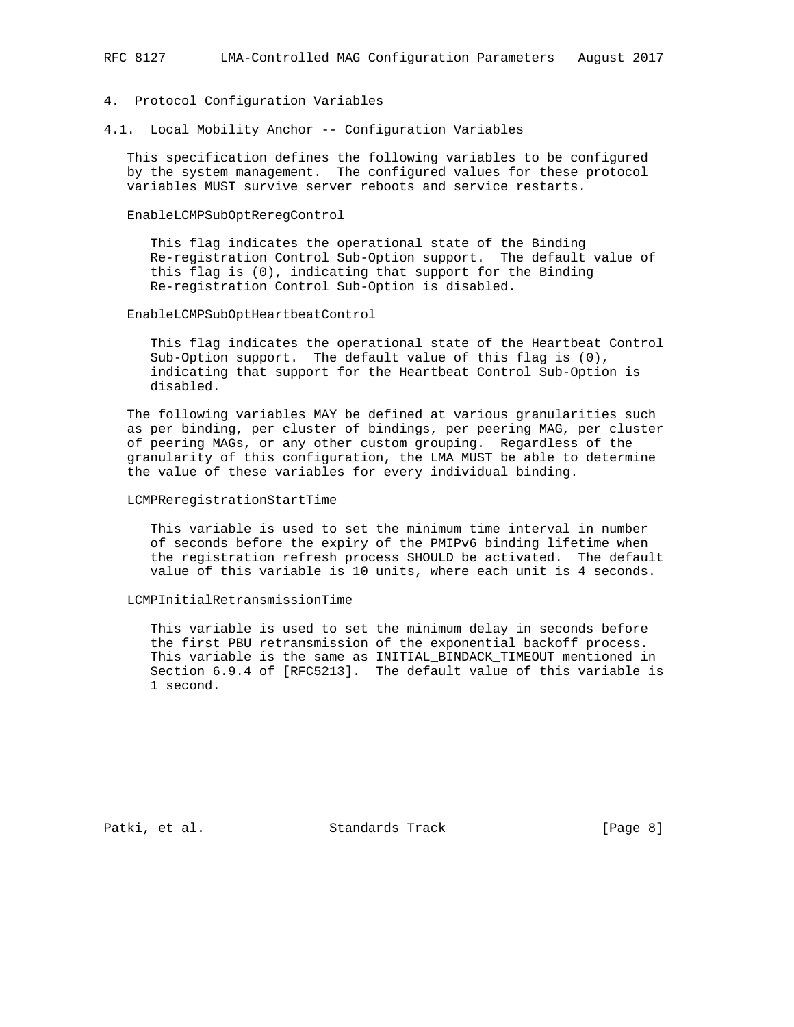#### 4. Protocol Configuration Variables

4.1. Local Mobility Anchor -- Configuration Variables

 This specification defines the following variables to be configured by the system management. The configured values for these protocol variables MUST survive server reboots and service restarts.

#### EnableLCMPSubOptReregControl

 This flag indicates the operational state of the Binding Re-registration Control Sub-Option support. The default value of this flag is (0), indicating that support for the Binding Re-registration Control Sub-Option is disabled.

### EnableLCMPSubOptHeartbeatControl

 This flag indicates the operational state of the Heartbeat Control Sub-Option support. The default value of this flag is (0), indicating that support for the Heartbeat Control Sub-Option is disabled.

 The following variables MAY be defined at various granularities such as per binding, per cluster of bindings, per peering MAG, per cluster of peering MAGs, or any other custom grouping. Regardless of the granularity of this configuration, the LMA MUST be able to determine the value of these variables for every individual binding.

### LCMPReregistrationStartTime

 This variable is used to set the minimum time interval in number of seconds before the expiry of the PMIPv6 binding lifetime when the registration refresh process SHOULD be activated. The default value of this variable is 10 units, where each unit is 4 seconds.

### LCMPInitialRetransmissionTime

 This variable is used to set the minimum delay in seconds before the first PBU retransmission of the exponential backoff process. This variable is the same as INITIAL\_BINDACK\_TIMEOUT mentioned in Section 6.9.4 of [RFC5213]. The default value of this variable is 1 second.

Patki, et al. Standards Track [Page 8]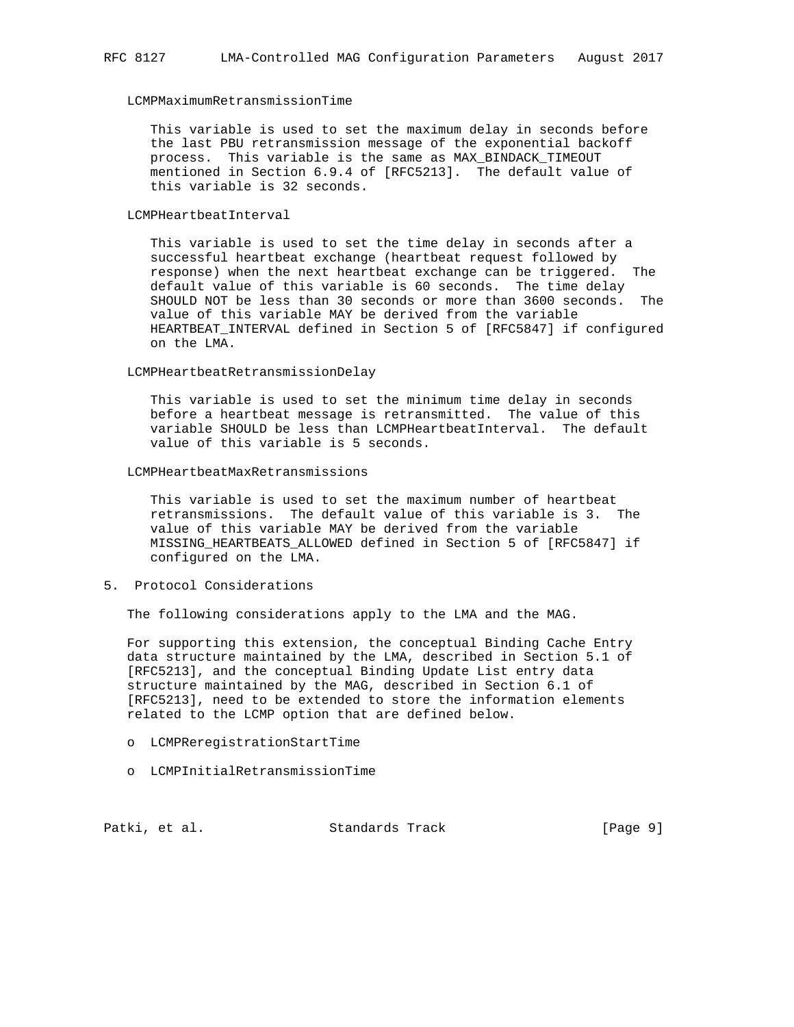## LCMPMaximumRetransmissionTime

 This variable is used to set the maximum delay in seconds before the last PBU retransmission message of the exponential backoff process. This variable is the same as MAX\_BINDACK\_TIMEOUT mentioned in Section 6.9.4 of [RFC5213]. The default value of this variable is 32 seconds.

#### LCMPHeartbeatInterval

 This variable is used to set the time delay in seconds after a successful heartbeat exchange (heartbeat request followed by response) when the next heartbeat exchange can be triggered. The default value of this variable is 60 seconds. The time delay SHOULD NOT be less than 30 seconds or more than 3600 seconds. The value of this variable MAY be derived from the variable HEARTBEAT\_INTERVAL defined in Section 5 of [RFC5847] if configured on the LMA.

#### LCMPHeartbeatRetransmissionDelay

 This variable is used to set the minimum time delay in seconds before a heartbeat message is retransmitted. The value of this variable SHOULD be less than LCMPHeartbeatInterval. The default value of this variable is 5 seconds.

### LCMPHeartbeatMaxRetransmissions

 This variable is used to set the maximum number of heartbeat retransmissions. The default value of this variable is 3. The value of this variable MAY be derived from the variable MISSING\_HEARTBEATS\_ALLOWED defined in Section 5 of [RFC5847] if configured on the LMA.

# 5. Protocol Considerations

The following considerations apply to the LMA and the MAG.

 For supporting this extension, the conceptual Binding Cache Entry data structure maintained by the LMA, described in Section 5.1 of [RFC5213], and the conceptual Binding Update List entry data structure maintained by the MAG, described in Section 6.1 of [RFC5213], need to be extended to store the information elements related to the LCMP option that are defined below.

- o LCMPReregistrationStartTime
- o LCMPInitialRetransmissionTime

Patki, et al. Standards Track [Page 9]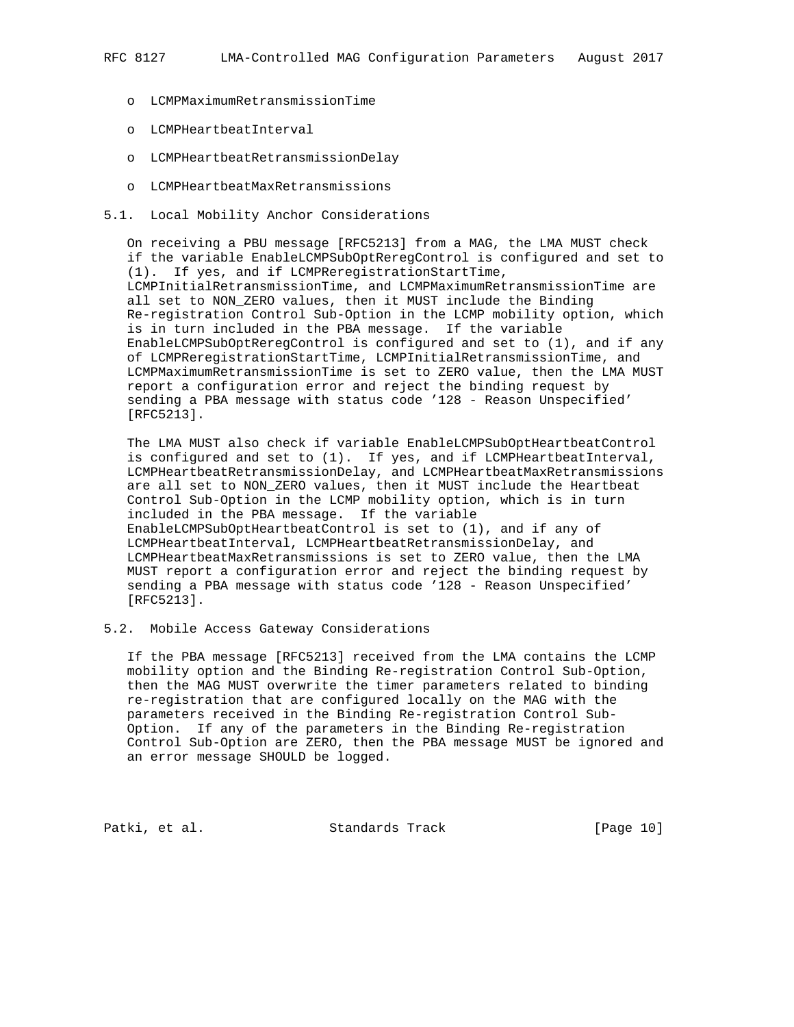- o LCMPMaximumRetransmissionTime
- o LCMPHeartbeatInterval
- o LCMPHeartbeatRetransmissionDelay
- o LCMPHeartbeatMaxRetransmissions
- 5.1. Local Mobility Anchor Considerations

 On receiving a PBU message [RFC5213] from a MAG, the LMA MUST check if the variable EnableLCMPSubOptReregControl is configured and set to (1). If yes, and if LCMPReregistrationStartTime, LCMPInitialRetransmissionTime, and LCMPMaximumRetransmissionTime are all set to NON\_ZERO values, then it MUST include the Binding Re-registration Control Sub-Option in the LCMP mobility option, which is in turn included in the PBA message. If the variable EnableLCMPSubOptReregControl is configured and set to (1), and if any of LCMPReregistrationStartTime, LCMPInitialRetransmissionTime, and LCMPMaximumRetransmissionTime is set to ZERO value, then the LMA MUST report a configuration error and reject the binding request by sending a PBA message with status code '128 - Reason Unspecified' [RFC5213].

 The LMA MUST also check if variable EnableLCMPSubOptHeartbeatControl is configured and set to (1). If yes, and if LCMPHeartbeatInterval, LCMPHeartbeatRetransmissionDelay, and LCMPHeartbeatMaxRetransmissions are all set to NON\_ZERO values, then it MUST include the Heartbeat Control Sub-Option in the LCMP mobility option, which is in turn included in the PBA message. If the variable EnableLCMPSubOptHeartbeatControl is set to (1), and if any of LCMPHeartbeatInterval, LCMPHeartbeatRetransmissionDelay, and LCMPHeartbeatMaxRetransmissions is set to ZERO value, then the LMA MUST report a configuration error and reject the binding request by sending a PBA message with status code '128 - Reason Unspecified' [RFC5213].

# 5.2. Mobile Access Gateway Considerations

 If the PBA message [RFC5213] received from the LMA contains the LCMP mobility option and the Binding Re-registration Control Sub-Option, then the MAG MUST overwrite the timer parameters related to binding re-registration that are configured locally on the MAG with the parameters received in the Binding Re-registration Control Sub- Option. If any of the parameters in the Binding Re-registration Control Sub-Option are ZERO, then the PBA message MUST be ignored and an error message SHOULD be logged.

Patki, et al. Standards Track [Page 10]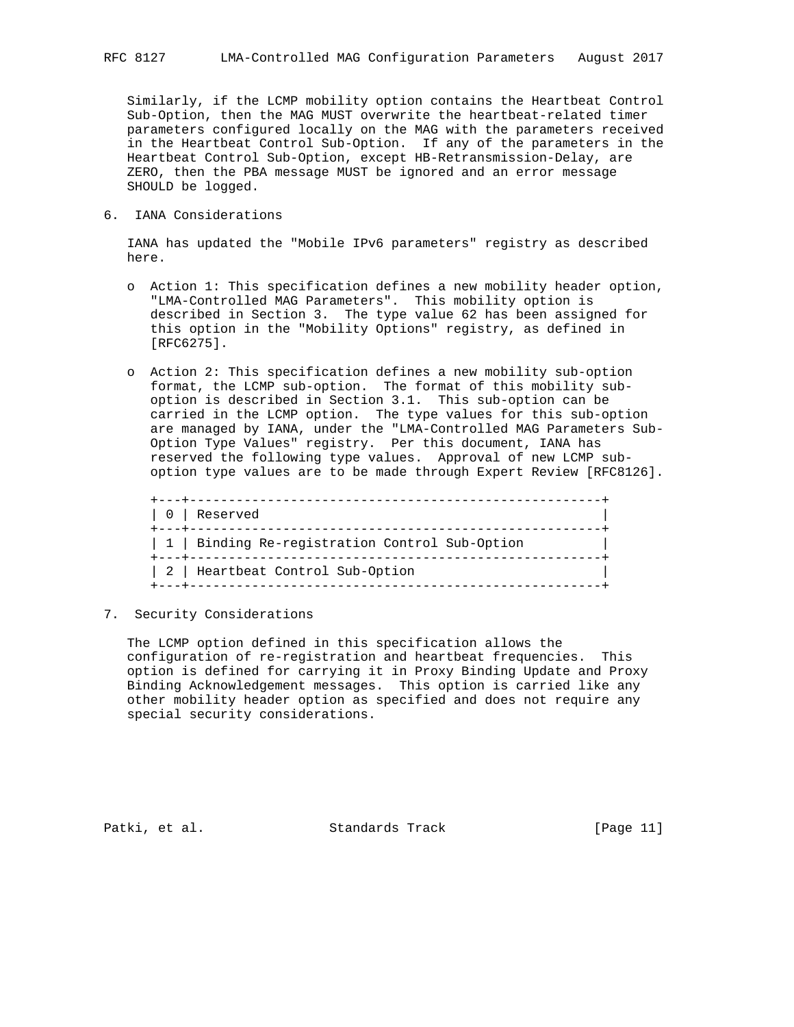Similarly, if the LCMP mobility option contains the Heartbeat Control Sub-Option, then the MAG MUST overwrite the heartbeat-related timer parameters configured locally on the MAG with the parameters received in the Heartbeat Control Sub-Option. If any of the parameters in the Heartbeat Control Sub-Option, except HB-Retransmission-Delay, are ZERO, then the PBA message MUST be ignored and an error message SHOULD be logged.

6. IANA Considerations

 IANA has updated the "Mobile IPv6 parameters" registry as described here.

- o Action 1: This specification defines a new mobility header option, "LMA-Controlled MAG Parameters". This mobility option is described in Section 3. The type value 62 has been assigned for this option in the "Mobility Options" registry, as defined in [RFC6275].
- o Action 2: This specification defines a new mobility sub-option format, the LCMP sub-option. The format of this mobility sub option is described in Section 3.1. This sub-option can be carried in the LCMP option. The type values for this sub-option are managed by IANA, under the "LMA-Controlled MAG Parameters Sub- Option Type Values" registry. Per this document, IANA has reserved the following type values. Approval of new LCMP sub option type values are to be made through Expert Review [RFC8126].

| ---------------<br>0 Reserved<br>--------------- |
|--------------------------------------------------|
| 1   Binding Re-registration Control Sub-Option   |
| 2   Heartbeat Control Sub-Option                 |

7. Security Considerations

 The LCMP option defined in this specification allows the configuration of re-registration and heartbeat frequencies. This option is defined for carrying it in Proxy Binding Update and Proxy Binding Acknowledgement messages. This option is carried like any other mobility header option as specified and does not require any special security considerations.

Patki, et al. Standards Track [Page 11]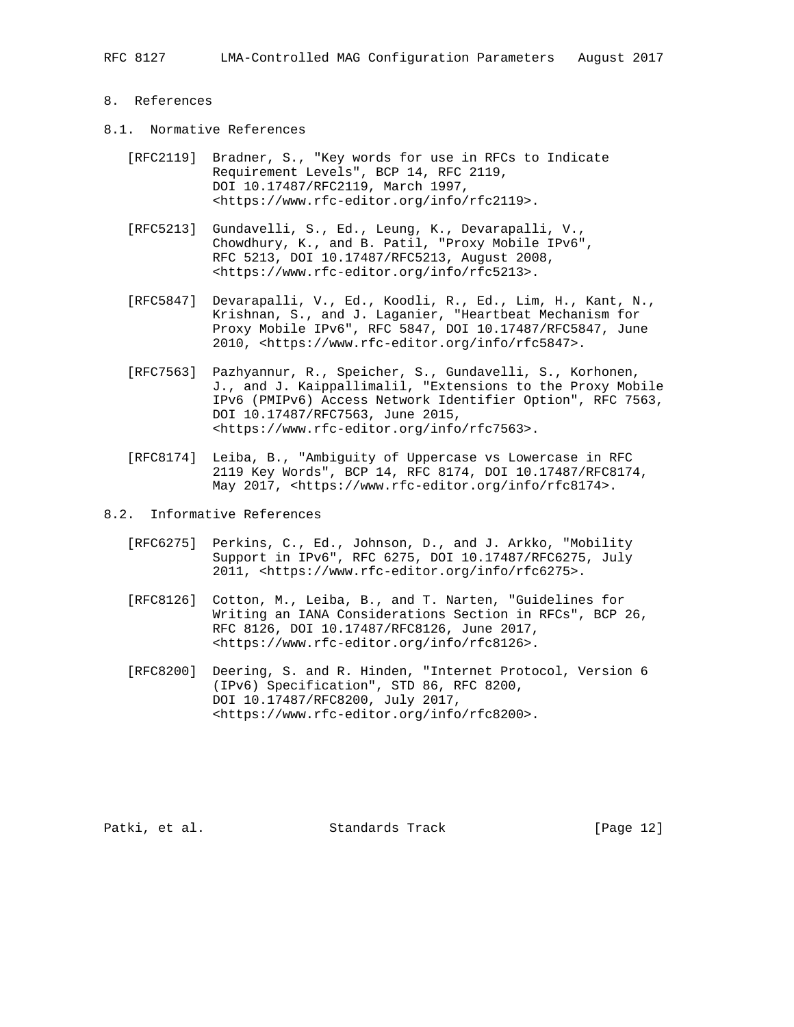RFC 8127 LMA-Controlled MAG Configuration Parameters August 2017

## 8. References

- 8.1. Normative References
	- [RFC2119] Bradner, S., "Key words for use in RFCs to Indicate Requirement Levels", BCP 14, RFC 2119, DOI 10.17487/RFC2119, March 1997, <https://www.rfc-editor.org/info/rfc2119>.
	- [RFC5213] Gundavelli, S., Ed., Leung, K., Devarapalli, V., Chowdhury, K., and B. Patil, "Proxy Mobile IPv6", RFC 5213, DOI 10.17487/RFC5213, August 2008, <https://www.rfc-editor.org/info/rfc5213>.
	- [RFC5847] Devarapalli, V., Ed., Koodli, R., Ed., Lim, H., Kant, N., Krishnan, S., and J. Laganier, "Heartbeat Mechanism for Proxy Mobile IPv6", RFC 5847, DOI 10.17487/RFC5847, June 2010, <https://www.rfc-editor.org/info/rfc5847>.
	- [RFC7563] Pazhyannur, R., Speicher, S., Gundavelli, S., Korhonen, J., and J. Kaippallimalil, "Extensions to the Proxy Mobile IPv6 (PMIPv6) Access Network Identifier Option", RFC 7563, DOI 10.17487/RFC7563, June 2015, <https://www.rfc-editor.org/info/rfc7563>.
	- [RFC8174] Leiba, B., "Ambiguity of Uppercase vs Lowercase in RFC 2119 Key Words", BCP 14, RFC 8174, DOI 10.17487/RFC8174, May 2017, <https://www.rfc-editor.org/info/rfc8174>.
- 8.2. Informative References
	- [RFC6275] Perkins, C., Ed., Johnson, D., and J. Arkko, "Mobility Support in IPv6", RFC 6275, DOI 10.17487/RFC6275, July 2011, <https://www.rfc-editor.org/info/rfc6275>.
	- [RFC8126] Cotton, M., Leiba, B., and T. Narten, "Guidelines for Writing an IANA Considerations Section in RFCs", BCP 26, RFC 8126, DOI 10.17487/RFC8126, June 2017, <https://www.rfc-editor.org/info/rfc8126>.
	- [RFC8200] Deering, S. and R. Hinden, "Internet Protocol, Version 6 (IPv6) Specification", STD 86, RFC 8200, DOI 10.17487/RFC8200, July 2017, <https://www.rfc-editor.org/info/rfc8200>.

Patki, et al. Standards Track [Page 12]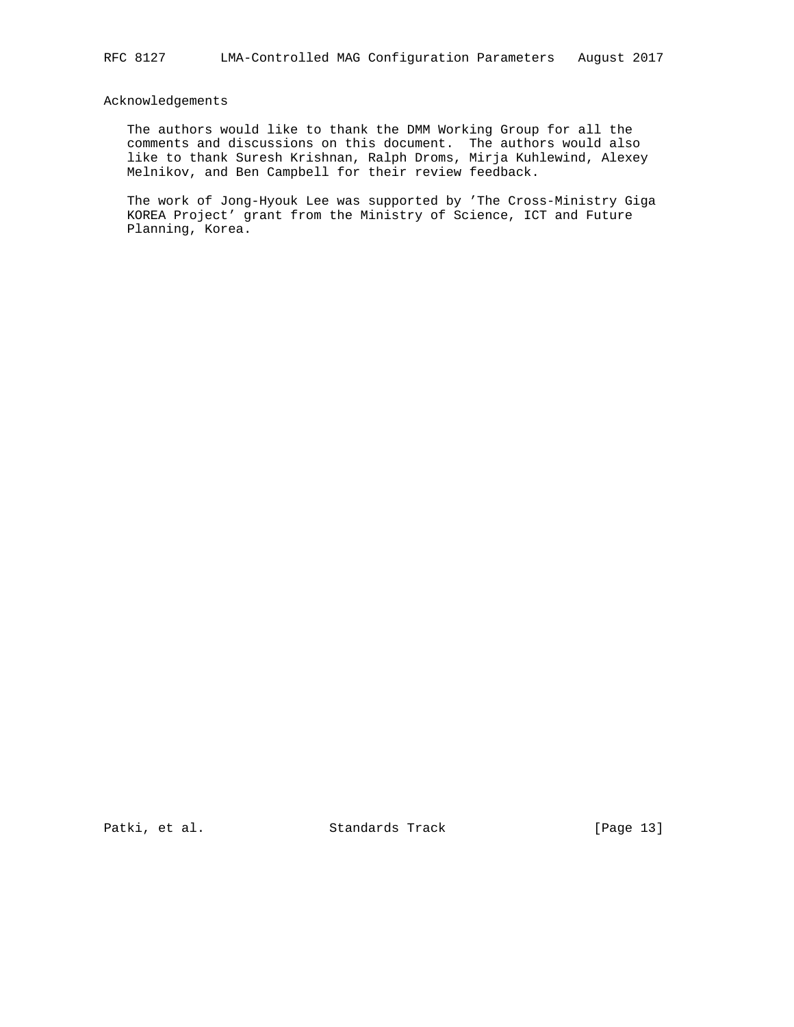# Acknowledgements

 The authors would like to thank the DMM Working Group for all the comments and discussions on this document. The authors would also like to thank Suresh Krishnan, Ralph Droms, Mirja Kuhlewind, Alexey Melnikov, and Ben Campbell for their review feedback.

 The work of Jong-Hyouk Lee was supported by 'The Cross-Ministry Giga KOREA Project' grant from the Ministry of Science, ICT and Future Planning, Korea.